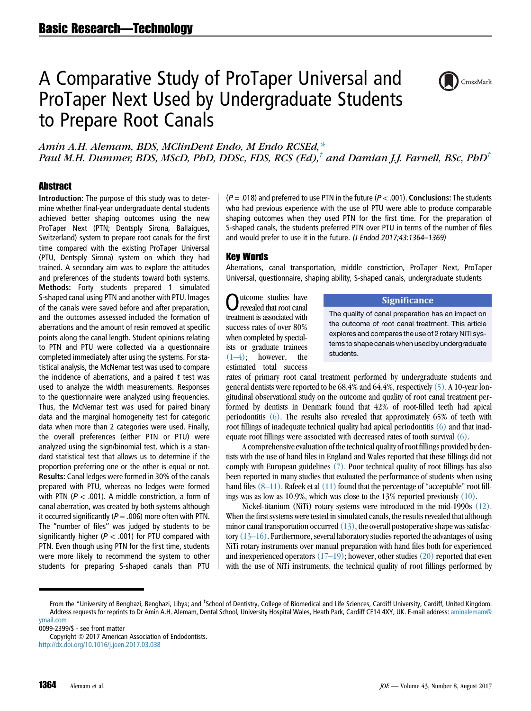# A Comparative Study of ProTaper Universal and ProTaper Next Used by Undergraduate Students to Prepare Root Canals



Amin A.H. Alemam, BDS, MClinDent Endo, M Endo RCSEd,\* Paul M.H. Dummer, BDS, MScD, PhD, DDSc, FDS, RCS (Ed),<sup>†</sup> and Damian J.J. Farnell, BSc, PhD<sup>†</sup>

# **Abstract**

Introduction: The purpose of this study was to determine whether final-year undergraduate dental students achieved better shaping outcomes using the new ProTaper Next (PTN; Dentsply Sirona, Ballaigues, Switzerland) system to prepare root canals for the first time compared with the existing ProTaper Universal (PTU, Dentsply Sirona) system on which they had trained. A secondary aim was to explore the attitudes and preferences of the students toward both systems. Methods: Forty students prepared 1 simulated S-shaped canal using PTN and another with PTU. Images of the canals were saved before and after preparation, and the outcomes assessed included the formation of aberrations and the amount of resin removed at specific points along the canal length. Student opinions relating to PTN and PTU were collected via a questionnaire completed immediately after using the systems. For statistical analysis, the McNemar test was used to compare the incidence of aberrations, and a paired  $t$  test was used to analyze the width measurements. Responses to the questionnaire were analyzed using frequencies. Thus, the McNemar test was used for paired binary data and the marginal homogeneity test for categoric data when more than 2 categories were used. Finally, the overall preferences (either PTN or PTU) were analyzed using the sign/binomial test, which is a standard statistical test that allows us to determine if the proportion preferring one or the other is equal or not. Results: Canal ledges were formed in 30% of the canals prepared with PTU, whereas no ledges were formed with PTN ( $P < .001$ ). A middle constriction, a form of canal aberration, was created by both systems although it occurred significantly ( $P = .006$ ) more often with PTN. The ''number of files'' was judged by students to be significantly higher ( $P < .001$ ) for PTU compared with PTN. Even though using PTN for the first time, students were more likely to recommend the system to other students for preparing S-shaped canals than PTU

 $(P = .018)$  and preferred to use PTN in the future  $(P < .001)$ . Conclusions: The students who had previous experience with the use of PTU were able to produce comparable shaping outcomes when they used PTN for the first time. For the preparation of S-shaped canals, the students preferred PTN over PTU in terms of the number of files and would prefer to use it in the future. (J Endod 2017;43:1364–1369)

#### Key Words

Aberrations, canal transportation, middle constriction, ProTaper Next, ProTaper Universal, questionnaire, shaping ability, S-shaped canals, undergraduate students

utcome studies have revealed that root canal treatment is associated with success rates of over 80% when completed by specialists or graduate trainees  $(1-4)$ ; however, the estimated total success

#### **Significance**

The quality of canal preparation has an impact on the outcome of root canal treatment. This article explores and compares the use of 2 rotary NiTi systems to shape canals when used by undergraduate students.

rates of primary root canal treatment performed by undergraduate students and general dentists were reported to be 68.4% and 64.4%, respectively[\(5\)](#page-5-0). A 10-year longitudinal observational study on the outcome and quality of root canal treatment performed by dentists in Denmark found that 42% of root-filled teeth had apical periodontitis [\(6\).](#page-5-0) The results also revealed that approximately 65% of teeth with root fillings of inadequate technical quality had apical periodontitis [\(6\)](#page-5-0) and that inadequate root fillings were associated with decreased rates of tooth survival [\(6\)](#page-5-0).

A comprehensive evaluation of the technical quality of root fillings provided by dentists with the use of hand files in England and Wales reported that these fillings did not comply with European guidelines [\(7\)](#page-5-0). Poor technical quality of root fillings has also been reported in many studies that evaluated the performance of students when using hand files  $(8-11)$ . Rafeek et al  $(11)$  found that the percentage of "acceptable" root fillings was as low as 10.9%, which was close to the 13% reported previously [\(10\)](#page-5-0).

Nickel-titanium (NiTi) rotary systems were introduced in the mid-1990s [\(12\).](#page-5-0) When the first systems were tested in simulated canals, the results revealed that although minor canal transportation occurred  $(13)$ , the overall postoperative shape was satisfactory  $(13–16)$ . Furthermore, several laboratory studies reported the advantages of using NiTi rotary instruments over manual preparation with hand files both for experienced and inexperienced operators  $(17–19)$ ; however, other studies  $(20)$  reported that even with the use of NiTi instruments, the technical quality of root fillings performed by

From the \*University of Benghazi, Benghazi, Libya; and <sup>†</sup>School of Dentistry, College of Biomedical and Life Sciences, Cardiff University, Cardiff, United Kingdom. Address requests for reprints to Dr Amin A.H. Alemam, Dental School, University Hospital Wales, Heath Park, Cardiff CF14 4XY, UK. E-mail address: [aminalemam@](mailto:aminalemam@ymail.com) [ymail.com](mailto:aminalemam@ymail.com)

<sup>0099-2399/\$ -</sup> see front matter

Copyright © 2017 American Association of Endodontists. <http://dx.doi.org/10.1016/j.joen.2017.03.038>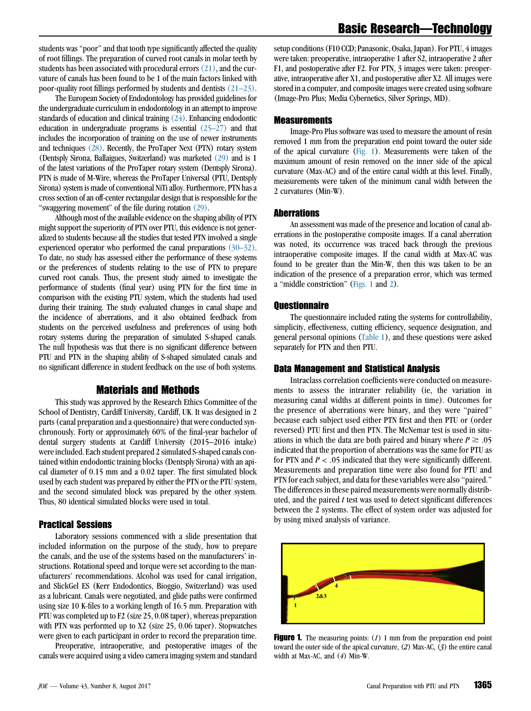students was ''poor'' and that tooth type significantly affected the quality of root fillings. The preparation of curved root canals in molar teeth by students has been associated with procedural errors  $(21)$ , and the curvature of canals has been found to be 1 of the main factors linked with poor-quality root fillings performed by students and dentists [\(21–23\).](#page-5-0)

The European Society of Endodontology has provided guidelines for the undergraduate curriculum in endodontology in an attempt to improve standards of education and clinical training [\(24\)](#page-5-0). Enhancing endodontic education in undergraduate programs is essential [\(25–27\)](#page-5-0) and that includes the incorporation of training on the use of newer instruments and techniques [\(28\).](#page-5-0) Recently, the ProTaper Next (PTN) rotary system (Dentsply Sirona, Ballaigues, Switzerland) was marketed [\(29\)](#page-5-0) and is 1 of the latest variations of the ProTaper rotary system (Dentsply Sirona). PTN is made of M-Wire, whereas the ProTaper Universal (PTU, Dentsply Sirona) system is made of conventional NiTi alloy. Furthermore, PTN has a cross section of an off-center rectangular design that is responsible for the "swaggering movement" of the file during rotation [\(29\).](#page-5-0)

Although most of the available evidence on the shaping ability of PTN might support the superiority of PTN over PTU, this evidence is not generalized to students because all the studies that tested PTN involved a single experienced operator who performed the canal preparations [\(30–32\).](#page-5-0) To date, no study has assessed either the performance of these systems or the preferences of students relating to the use of PTN to prepare curved root canals. Thus, the present study aimed to investigate the performance of students (final year) using PTN for the first time in comparison with the existing PTU system, which the students had used during their training. The study evaluated changes in canal shape and the incidence of aberrations, and it also obtained feedback from students on the perceived usefulness and preferences of using both rotary systems during the preparation of simulated S-shaped canals. The null hypothesis was that there is no significant difference between PTU and PTN in the shaping ability of S-shaped simulated canals and no significant difference in student feedback on the use of both systems.

# Materials and Methods

This study was approved by the Research Ethics Committee of the School of Dentistry, Cardiff University, Cardiff, UK. It was designed in 2 parts (canal preparation and a questionnaire) that were conducted synchronously. Forty or approximately 60% of the final-year bachelor of dental surgery students at Cardiff University (2015–2016 intake) were included. Each student prepared 2 simulated S-shaped canals contained within endodontic training blocks (Dentsply Sirona) with an apical diameter of 0.15 mm and a 0.02 taper. The first simulated block used by each student was prepared by either the PTN or the PTU system, and the second simulated block was prepared by the other system. Thus, 80 identical simulated blocks were used in total.

# Practical Sessions

Laboratory sessions commenced with a slide presentation that included information on the purpose of the study, how to prepare the canals, and the use of the systems based on the manufacturers' instructions. Rotational speed and torque were set according to the manufacturers' recommendations. Alcohol was used for canal irrigation, and SlickGel ES (Kerr Endodontics, Bioggio, Switzerland) was used as a lubricant. Canals were negotiated, and glide paths were confirmed using size 10 K-files to a working length of 16.5 mm. Preparation with PTU was completed up to F2 (size 25, 0.08 taper), whereas preparation with PTN was performed up to X2 (size 25, 0.06 taper). Stopwatches were given to each participant in order to record the preparation time.

Preoperative, intraoperative, and postoperative images of the canals were acquired using a video camera imaging system and standard

setup conditions (F10 CCD; Panasonic, Osaka, Japan). For PTU, 4 images were taken: preoperative, intraoperative 1 after S2, intraoperative 2 after F1, and postoperative after F2. For PTN, 3 images were taken: preoperative, intraoperative after X1, and postoperative after X2. All images were stored in a computer, and composite images were created using software (Image-Pro Plus; Media Cybernetics, Silver Springs, MD).

#### Measurements

Image-Pro Plus software was used to measure the amount of resin removed 1 mm from the preparation end point toward the outer side of the apical curvature (Fig. 1). Measurements were taken of the maximum amount of resin removed on the inner side of the apical curvature (Max-AC) and of the entire canal width at this level. Finally, measurements were taken of the minimum canal width between the 2 curvatures (Min-W).

#### **Aberrations**

An assessment was made of the presence and location of canal aberrations in the postoperative composite images. If a canal aberration was noted, its occurrence was traced back through the previous intraoperative composite images. If the canal width at Max-AC was found to be greater than the Min-W, then this was taken to be an indication of the presence of a preparation error, which was termed a ''middle constriction'' (Figs. 1 and [2\)](#page-2-0).

#### **Ouestionnaire**

The questionnaire included rating the systems for controllability, simplicity, effectiveness, cutting efficiency, sequence designation, and general personal opinions [\(Table 1](#page-3-0)), and these questions were asked separately for PTN and then PTU.

#### Data Management and Statistical Analysis

Intraclass correlation coefficients were conducted on measurements to assess the intrarater reliability (ie, the variation in measuring canal widths at different points in time). Outcomes for the presence of aberrations were binary, and they were ''paired'' because each subject used either PTN first and then PTU or (order reversed) PTU first and then PTN. The McNemar test is used in situations in which the data are both paired and binary where  $P \geq .05$ indicated that the proportion of aberrations was the same for PTU as for PTN and  $P < .05$  indicated that they were significantly different. Measurements and preparation time were also found for PTU and PTN for each subject, and data for these variables were also ''paired.'' The differences in these paired measurements were normally distributed, and the paired t test was used to detect significant differences between the 2 systems. The effect of system order was adjusted for by using mixed analysis of variance.



**Figure 1.** The measuring points:  $(I)$  1 mm from the preparation end point toward the outer side of the apical curvature, (2) Max-AC, (3) the entire canal width at Max-AC, and (4) Min-W.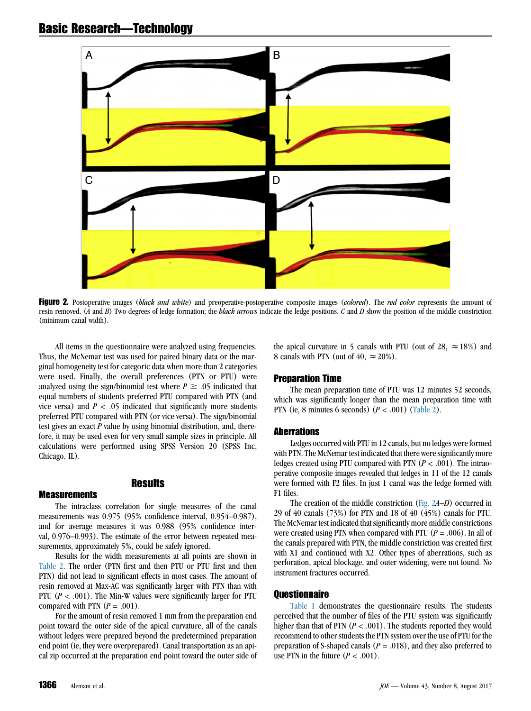<span id="page-2-0"></span>

Figure 2. Postoperative images (black and white) and preoperative-postoperative composite images (colored). The red color represents the amount of resin removed. (A and B) Two degrees of ledge formation; the black arrows indicate the ledge positions. C and D show the position of the middle constriction (minimum canal width).

All items in the questionnaire were analyzed using frequencies. Thus, the McNemar test was used for paired binary data or the marginal homogeneity test for categoric data when more than 2 categories were used. Finally, the overall preferences (PTN or PTU) were analyzed using the sign/binomial test where  $P \geq .05$  indicated that equal numbers of students preferred PTU compared with PTN (and vice versa) and  $P < .05$  indicated that significantly more students preferred PTU compared with PTN (or vice versa). The sign/binomial test gives an exact P value by using binomial distribution, and, therefore, it may be used even for very small sample sizes in principle. All calculations were performed using SPSS Version 20 (SPSS Inc, Chicago, IL).

#### **Measurements**

# Results

The intraclass correlation for single measures of the canal measurements was 0.975 (95% confidence interval, 0.954–0.987), and for average measures it was 0.988 (95% confidence interval, 0.976–0.993). The estimate of the error between repeated measurements, approximately 5%, could be safely ignored.

Results for the width measurements at all points are shown in [Table 2.](#page-4-0) The order (PTN first and then PTU or PTU first and then PTN) did not lead to significant effects in most cases. The amount of resin removed at Max-AC was significantly larger with PTN than with PTU ( $P < .001$ ). The Min-W values were significantly larger for PTU compared with PTN  $(P = .001)$ .

For the amount of resin removed 1 mm from the preparation end point toward the outer side of the apical curvature, all of the canals without ledges were prepared beyond the predetermined preparation end point (ie, they were overprepared). Canal transportation as an apical zip occurred at the preparation end point toward the outer side of the apical curvature in 5 canals with PTU (out of 28,  $\approx$  18%) and 8 canals with PTN (out of 40,  $\approx$  20%).

# Preparation Time

The mean preparation time of PTU was 12 minutes 52 seconds, which was significantly longer than the mean preparation time with PTN (ie, 8 minutes 6 seconds)  $(P < .001)$  [\(Table 2\)](#page-4-0).

# **Aberrations**

Ledges occurred with PTU in 12 canals, but no ledges were formed with PTN. The McNemar test indicated that there were significantly more ledges created using PTU compared with PTN ( $P < .001$ ). The intraoperative composite images revealed that ledges in 11 of the 12 canals were formed with F2 files. In just 1 canal was the ledge formed with F1 files.

The creation of the middle constriction (Fig. 2A–D) occurred in 29 of 40 canals (73%) for PTN and 18 of 40 (45%) canals for PTU. The McNemar test indicated that significantly more middle constrictions were created using PTN when compared with PTU ( $P = .006$ ). In all of the canals prepared with PTN, the middle constriction was created first with X1 and continued with X2. Other types of aberrations, such as perforation, apical blockage, and outer widening, were not found. No instrument fractures occurred.

# **Ouestionnaire**

[Table 1](#page-3-0) demonstrates the questionnaire results. The students perceived that the number of files of the PTU system was significantly higher than that of PTN ( $P < .001$ ). The students reported they would recommend to other students the PTN system over the use of PTU for the preparation of S-shaped canals ( $P = .018$ ), and they also preferred to use PTN in the future  $(P < .001)$ .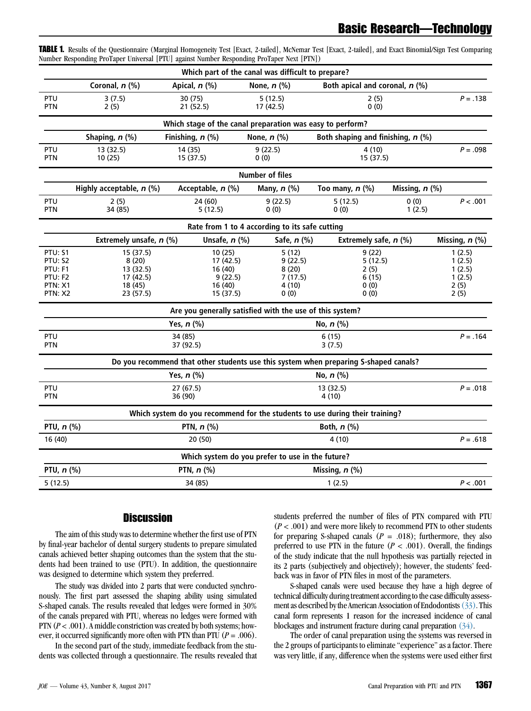| Which part of the canal was difficult to prepare?                            |                                                                                                        |                                                                                      |                                                        |                                                    |                                                      |            |  |  |  |  |  |  |  |
|------------------------------------------------------------------------------|--------------------------------------------------------------------------------------------------------|--------------------------------------------------------------------------------------|--------------------------------------------------------|----------------------------------------------------|------------------------------------------------------|------------|--|--|--|--|--|--|--|
|                                                                              | Coronal, n (%)                                                                                         | Apical, n (%)                                                                        | None, $n$ (%)                                          | Both apical and coronal, $n$ (%)                   |                                                      |            |  |  |  |  |  |  |  |
| PTU<br><b>PTN</b>                                                            | 3(7.5)<br>2(5)                                                                                         | 30 (75)<br>21 (52.5)                                                                 | 5(12.5)<br>17 (42.5)                                   | 2(5)<br>0(0)                                       |                                                      | $P = .138$ |  |  |  |  |  |  |  |
| Which stage of the canal preparation was easy to perform?                    |                                                                                                        |                                                                                      |                                                        |                                                    |                                                      |            |  |  |  |  |  |  |  |
|                                                                              | Shaping, n (%)                                                                                         | Finishing, n (%)                                                                     | None, n (%)                                            | Both shaping and finishing, $n$ (%)                |                                                      |            |  |  |  |  |  |  |  |
| PTU<br><b>PTN</b>                                                            | 13 (32.5)<br>10 (25)                                                                                   | 14 (35)<br>15 (37.5)                                                                 | 9(22.5)<br>0(0)                                        | 4(10)<br>15 (37.5)                                 | $P = .098$                                           |            |  |  |  |  |  |  |  |
| <b>Number of files</b>                                                       |                                                                                                        |                                                                                      |                                                        |                                                    |                                                      |            |  |  |  |  |  |  |  |
|                                                                              | Highly acceptable, $n$ (%)                                                                             | Acceptable, n (%)                                                                    | Many, $n$ (%)                                          | Too many, $n$ (%)                                  | Missing, n (%)                                       |            |  |  |  |  |  |  |  |
| PTU<br><b>PTN</b>                                                            | 2(5)<br>34 (85)                                                                                        | 24 (60)<br>5(12.5)                                                                   | 9(22.5)<br>0(0)                                        | 5(12.5)<br>0(0)                                    | 0(0)<br>1(2.5)                                       | P < .001   |  |  |  |  |  |  |  |
| Rate from 1 to 4 according to its safe cutting                               |                                                                                                        |                                                                                      |                                                        |                                                    |                                                      |            |  |  |  |  |  |  |  |
|                                                                              | Extremely unsafe, n (%)<br>Unsafe, $n$ (%)<br>Safe, n (%)<br>Extremely safe, $n$ (%)<br>Missing, n (%) |                                                                                      |                                                        |                                                    |                                                      |            |  |  |  |  |  |  |  |
| <b>PTU: S1</b><br>PTU: S2<br>PTU: F1<br>PTU: F2<br><b>PTN: X1</b><br>PTN: X2 | 15 (37.5)<br>8(20)<br>13 (32.5)<br>17 (42.5)<br>18 (45)<br>23 (57.5)                                   | 10 (25)<br>17 (42.5)<br>16 (40)<br>9(22.5)<br>16 (40)<br>15 (37.5)                   | 5(12)<br>9(22.5)<br>8(20)<br>7(17.5)<br>4 (10)<br>0(0) | 9(22)<br>5(12.5)<br>2(5)<br>6 (15)<br>0(0)<br>0(0) | 1(2.5)<br>1(2.5)<br>1(2.5)<br>1(2.5)<br>2(5)<br>2(5) |            |  |  |  |  |  |  |  |
| Are you generally satisfied with the use of this system?                     |                                                                                                        |                                                                                      |                                                        |                                                    |                                                      |            |  |  |  |  |  |  |  |
|                                                                              | Yes, $n$ (%)<br>No, $n$ (%)                                                                            |                                                                                      |                                                        |                                                    |                                                      |            |  |  |  |  |  |  |  |
| PTU<br><b>PTN</b>                                                            |                                                                                                        | 34 (85)<br>37 (92.5)                                                                 |                                                        | 6(15)<br>3(7.5)                                    |                                                      |            |  |  |  |  |  |  |  |
|                                                                              |                                                                                                        | Do you recommend that other students use this system when preparing S-shaped canals? |                                                        |                                                    |                                                      |            |  |  |  |  |  |  |  |
|                                                                              |                                                                                                        | Yes, $n$ (%)                                                                         |                                                        | No, $n$ (%)                                        |                                                      |            |  |  |  |  |  |  |  |
| PTU<br><b>PTN</b>                                                            |                                                                                                        | 27(67.5)<br>36 (90)                                                                  |                                                        | 13 (32.5)<br>4 (10)                                |                                                      |            |  |  |  |  |  |  |  |
|                                                                              |                                                                                                        | Which system do you recommend for the students to use during their training?         |                                                        |                                                    |                                                      |            |  |  |  |  |  |  |  |
| PTU, $n$ (%)                                                                 |                                                                                                        | PTN, $n$ (%)                                                                         |                                                        | Both, $n$ (%)                                      |                                                      |            |  |  |  |  |  |  |  |
| 16 (40)                                                                      |                                                                                                        | 20 (50)                                                                              |                                                        | 4(10)                                              |                                                      |            |  |  |  |  |  |  |  |
| Which system do you prefer to use in the future?                             |                                                                                                        |                                                                                      |                                                        |                                                    |                                                      |            |  |  |  |  |  |  |  |
| PTU, n (%)                                                                   |                                                                                                        | PTN, $n$ (%)                                                                         |                                                        | Missing, n (%)                                     |                                                      |            |  |  |  |  |  |  |  |
| 5(12.5)                                                                      |                                                                                                        | 34 (85)                                                                              |                                                        | 1(2.5)                                             |                                                      | P < .001   |  |  |  |  |  |  |  |

<span id="page-3-0"></span>TABLE 1. Results of the Questionnaire (Marginal Homogeneity Test [Exact, 2-tailed], McNemar Test [Exact, 2-tailed], and Exact Binomial/Sign Test Comparing Number Responding ProTaper Universal [PTU] against Number Responding ProTaper Next [PTN])

# **Discussion**

The aim of this study was to determine whether the first use of PTN by final-year bachelor of dental surgery students to prepare simulated canals achieved better shaping outcomes than the system that the students had been trained to use (PTU). In addition, the questionnaire was designed to determine which system they preferred.

The study was divided into 2 parts that were conducted synchronously. The first part assessed the shaping ability using simulated S-shaped canals. The results revealed that ledges were formed in 30% of the canals prepared with PTU, whereas no ledges were formed with PTN  $(P < .001)$ . A middle constriction was created by both systems; however, it occurred significantly more often with PTN than PTU ( $P = .006$ ).

In the second part of the study, immediate feedback from the students was collected through a questionnaire. The results revealed that students preferred the number of files of PTN compared with PTU  $(P < .001)$  and were more likely to recommend PTN to other students for preparing S-shaped canals ( $P = .018$ ); furthermore, they also preferred to use PTN in the future  $(P < .001)$ . Overall, the findings of the study indicate that the null hypothesis was partially rejected in its 2 parts (subjectively and objectively); however, the students' feedback was in favor of PTN files in most of the parameters.

S-shaped canals were used because they have a high degree of technical difficulty during treatment according to the case difficulty assessment as described by the American Association of Endodontists[\(33\)](#page-5-0). This canal form represents 1 reason for the increased incidence of canal blockages and instrument fracture during canal preparation [\(34\)](#page-5-0).

The order of canal preparation using the systems was reversed in the 2 groups of participants to eliminate ''experience'' as a factor. There was very little, if any, difference when the systems were used either first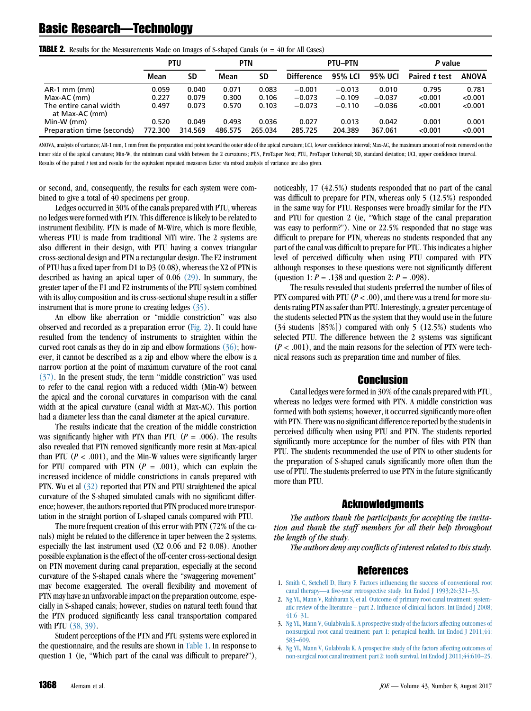# <span id="page-4-0"></span>Basic Research—Technology

|                                          | PTU     |           | <b>PTN</b> |           | <b>PTU-PTN</b>    |          | P value  |               |              |
|------------------------------------------|---------|-----------|------------|-----------|-------------------|----------|----------|---------------|--------------|
|                                          | Mean    | <b>SD</b> | Mean       | <b>SD</b> | <b>Difference</b> | 95% LCI  | 95% UCI  | Paired t test | <b>ANOVA</b> |
| $AR-1$ mm (mm)                           | 0.059   | 0.040     | 0.071      | 0.083     | $-0.001$          | $-0.013$ | 0.010    | 0.795         | 0.781        |
| Max-AC (mm)                              | 0.227   | 0.079     | 0.300      | 0.106     | $-0.073$          | $-0.109$ | $-0.037$ | < 0.001       | < 0.001      |
| The entire canal width<br>at Max-AC (mm) | 0.497   | 0.073     | 0.570      | 0.103     | $-0.073$          | $-0.110$ | $-0.036$ | < 0.001       | < 0.001      |
| Min-W (mm)                               | 0.520   | 0.049     | 0.493      | 0.036     | 0.027             | 0.013    | 0.042    | 0.001         | 0.001        |
| Preparation time (seconds)               | 772.300 | 314.569   | 486.575    | 265.034   | 285.725           | 204.389  | 367.061  | < 0.001       | < 0.001      |

**TABLE 2.** Results for the Measurements Made on Images of S-shaped Canals ( $n = 40$  for All Cases)

ANOVA, analysis of variance; AR-1 mm, 1 mm from the preparation end point toward the outer side of the apical curvature; LCI, lower confidence interval; Max-AC, the maximum amount of resin removed on the inner side of the apical curvature; Min-W, the minimum canal width between the 2 curvatures; PTN, ProTaper Next; PTU, ProTaper Universal; SD, standard deviation; UCI, upper confidence interval. Results of the paired t test and results for the equivalent repeated measures factor via mixed analysis of variance are also given.

or second, and, consequently, the results for each system were combined to give a total of 40 specimens per group.

Ledges occurred in 30% of the canals prepared with PTU, whereas no ledges were formed with PTN. This difference is likely to be related to instrument flexibility. PTN is made of M-Wire, which is more flexible, whereas PTU is made from traditional NiTi wire. The 2 systems are also different in their design, with PTU having a convex triangular cross-sectional design and PTN a rectangular design. The F2 instrument of PTU has a fixed taper from D1 to D3 (0.08), whereas the X2 of PTN is described as having an apical taper of 0.06 [\(29\).](#page-5-0) In summary, the greater taper of the F1 and F2 instruments of the PTU system combined with its alloy composition and its cross-sectional shape result in a stiffer instrument that is more prone to creating ledges [\(35\).](#page-5-0)

An elbow like aberration or ''middle constriction'' was also observed and recorded as a preparation error [\(Fig. 2](#page-2-0)). It could have resulted from the tendency of instruments to straighten within the curved root canals as they do in zip and elbow formations  $(36)$ ; however, it cannot be described as a zip and elbow where the elbow is a narrow portion at the point of maximum curvature of the root canal [\(37\)](#page-5-0). In the present study, the term ''middle constriction'' was used to refer to the canal region with a reduced width (Min-W) between the apical and the coronal curvatures in comparison with the canal width at the apical curvature (canal width at Max-AC). This portion had a diameter less than the canal diameter at the apical curvature.

The results indicate that the creation of the middle constriction was significantly higher with PTN than PTU ( $P = .006$ ). The results also revealed that PTN removed significantly more resin at Max-apical than PTU ( $P < .001$ ), and the Min-W values were significantly larger for PTU compared with PTN  $(P = .001)$ , which can explain the increased incidence of middle constrictions in canals prepared with PTN. Wu et al [\(32\)](#page-5-0) reported that PTN and PTU straightened the apical curvature of the S-shaped simulated canals with no significant difference; however, the authors reported that PTN produced more transportation in the straight portion of L-shaped canals compared with PTU.

The more frequent creation of this error with PTN (72% of the canals) might be related to the difference in taper between the 2 systems, especially the last instrument used (X2 0.06 and F2 0.08). Another possible explanation is the effect of the off-center cross-sectional design on PTN movement during canal preparation, especially at the second curvature of the S-shaped canals where the ''swaggering movement'' may become exaggerated. The overall flexibility and movement of PTN may have an unfavorable impact on the preparation outcome, especially in S-shaped canals; however, studies on natural teeth found that the PTN produced significantly less canal transportation compared with PTU [\(38, 39\)](#page-5-0).

Student perceptions of the PTN and PTU systems were explored in the questionnaire, and the results are shown in [Table 1.](#page-3-0) In response to question 1 (ie, "Which part of the canal was difficult to prepare?"), noticeably, 17 (42.5%) students responded that no part of the canal was difficult to prepare for PTN, whereas only 5 (12.5%) responded in the same way for PTU. Responses were broadly similar for the PTN and PTU for question 2 (ie, ''Which stage of the canal preparation was easy to perform?''). Nine or 22.5% responded that no stage was difficult to prepare for PTN, whereas no students responded that any part of the canal was difficult to prepare for PTU. This indicates a higher level of perceived difficulty when using PTU compared with PTN although responses to these questions were not significantly different (question 1:  $P = .138$  and question 2:  $P = .098$ ).

The results revealed that students preferred the number of files of PTN compared with PTU ( $P < .00$ ), and there was a trend for more students rating PTN as safer than PTU. Interestingly, a greater percentage of the students selected PTN as the system that they would use in the future (34 students [85%]) compared with only 5 (12.5%) students who selected PTU. The difference between the 2 systems was significant  $(P < .001)$ , and the main reasons for the selection of PTN were technical reasons such as preparation time and number of files.

#### Conclusion

Canal ledges were formed in 30% of the canals prepared with PTU, whereas no ledges were formed with PTN. A middle constriction was formed with both systems; however, it occurred significantly more often with PTN. There was no significant difference reported by the students in perceived difficulty when using PTU and PTN. The students reported significantly more acceptance for the number of files with PTN than PTU. The students recommended the use of PTN to other students for the preparation of S-shaped canals significantly more often than the use of PTU. The students preferred to use PTN in the future significantly more than PTU.

# Acknowledgments

The authors thank the participants for accepting the invitation and thank the staff members for all their help throughout the length of the study.

The authors deny any conflicts of interest related to this study.

#### References

- 1. [Smith C, Setchell D, Harty F. Factors influencing the success of conventional root](http://refhub.elsevier.com/S0099-2399(17)30374-6/sref1) [canal therapy—a five-year retrospective study. Int Endod J 1993;26:321–33.](http://refhub.elsevier.com/S0099-2399(17)30374-6/sref1)
- 2. [Ng YL, Mann V, Rahbaran S, et al. Outcome of primary root canal treatment: system](http://refhub.elsevier.com/S0099-2399(17)30374-6/sref2)[atic review of the literature – part 2. Influence of clinical factors. Int Endod J 2008;](http://refhub.elsevier.com/S0099-2399(17)30374-6/sref2) [41:6–31.](http://refhub.elsevier.com/S0099-2399(17)30374-6/sref2)
- 3. [Ng YL, Mann V, Gulabivala K. A prospective study of the factors affecting outcomes of](http://refhub.elsevier.com/S0099-2399(17)30374-6/sref3) [nonsurgical root canal treatment: part 1: periapical health. Int Endod J 2011;44:](http://refhub.elsevier.com/S0099-2399(17)30374-6/sref3) [583–609](http://refhub.elsevier.com/S0099-2399(17)30374-6/sref3).
- 4. [Ng YL, Mann V, Gulabivala K. A prospective study of the factors affecting outcomes of](http://refhub.elsevier.com/S0099-2399(17)30374-6/sref4) [non-surgical root canal treatment: part 2: tooth survival. Int Endod J 2011;44:610–25](http://refhub.elsevier.com/S0099-2399(17)30374-6/sref4).